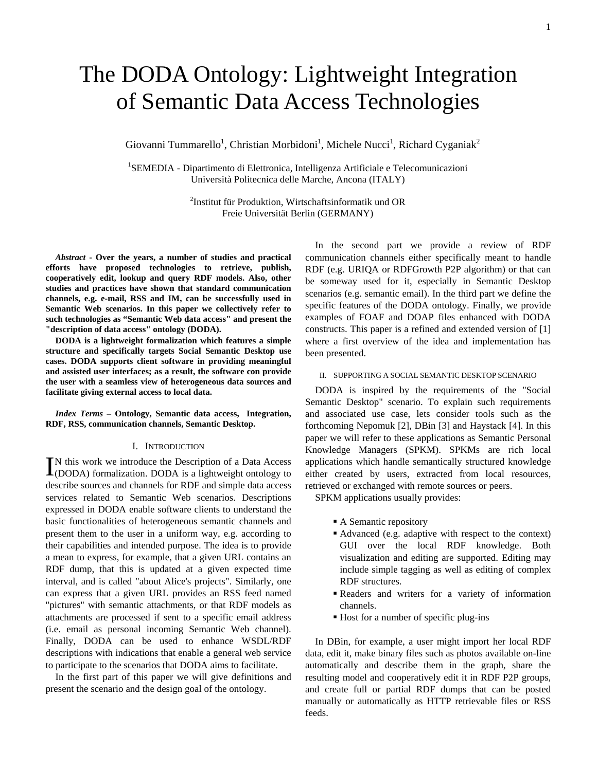# The DODA Ontology: Lightweight Integration of Semantic Data Access Technologies

Giovanni Tummarello<sup>1</sup>, Christian Morbidoni<sup>1</sup>, Michele Nucci<sup>1</sup>, Richard Cyganiak<sup>2</sup>

<sup>1</sup>SEMEDIA - Dipartimento di Elettronica, Intelligenza Artificiale e Telecomunicazioni Università Politecnica delle Marche, Ancona (ITALY)

> 2 Institut für Produktion, Wirtschaftsinformatik und OR Freie Universität Berlin (GERMANY)

*Abstract* **- Over the years, a number of studies and practical efforts have proposed technologies to retrieve, publish, cooperatively edit, lookup and query RDF models. Also, other studies and practices have shown that standard communication channels, e.g. e-mail, RSS and IM, can be successfully used in Semantic Web scenarios. In this paper we collectively refer to such technologies as "Semantic Web data access" and present the "description of data access" ontology (DODA).** 

**DODA is a lightweight formalization which features a simple structure and specifically targets Social Semantic Desktop use cases. DODA supports client software in providing meaningful and assisted user interfaces; as a result, the software con provide the user with a seamless view of heterogeneous data sources and facilitate giving external access to local data.** 

*Index Terms* **– Ontology, Semantic data access, Integration, RDF, RSS, communication channels, Semantic Desktop.** 

#### I. INTRODUCTION

N this work we introduce the Description of a Data Access IN this work we introduce the Description of a Data Access (DODA) formalization. DODA is a lightweight ontology to describe sources and channels for RDF and simple data access services related to Semantic Web scenarios. Descriptions expressed in DODA enable software clients to understand the basic functionalities of heterogeneous semantic channels and present them to the user in a uniform way, e.g. according to their capabilities and intended purpose. The idea is to provide a mean to express, for example, that a given URL contains an RDF dump, that this is updated at a given expected time interval, and is called "about Alice's projects". Similarly, one can express that a given URL provides an RSS feed named "pictures" with semantic attachments, or that RDF models as attachments are processed if sent to a specific email address (i.e. email as personal incoming Semantic Web channel). Finally, DODA can be used to enhance WSDL/RDF descriptions with indications that enable a general web service to participate to the scenarios that DODA aims to facilitate.

In the first part of this paper we will give definitions and present the scenario and the design goal of the ontology.

In the second part we provide a review of RDF communication channels either specifically meant to handle RDF (e.g. URIQA or RDFGrowth P2P algorithm) or that can be someway used for it, especially in Semantic Desktop scenarios (e.g. semantic email). In the third part we define the specific features of the DODA ontology. Finally, we provide examples of FOAF and DOAP files enhanced with DODA constructs. This paper is a refined and extended version of [\[1\]](#page-8-0) where a first overview of the idea and implementation has been presented.

## II. SUPPORTING A SOCIAL SEMANTIC DESKTOP SCENARIO

DODA is inspired by the requirements of the "Social Semantic Desktop" scenario. To explain such requirements and associated use case, lets consider tools such as the forthcoming Nepomuk [\[2\],](#page-8-1) DBin [\[3\]](#page-8-2) and Haystack [\[4\].](#page-8-3) In this paper we will refer to these applications as Semantic Personal Knowledge Managers (SPKM). SPKMs are rich local applications which handle semantically structured knowledge either created by users, extracted from local resources, retrieved or exchanged with remote sources or peers.

SPKM applications usually provides:

- A Semantic repository
- Advanced (e.g. adaptive with respect to the context) GUI over the local RDF knowledge. Both visualization and editing are supported. Editing may include simple tagging as well as editing of complex RDF structures.
- Readers and writers for a variety of information channels.
- Host for a number of specific plug-ins

In DBin, for example, a user might import her local RDF data, edit it, make binary files such as photos available on-line automatically and describe them in the graph, share the resulting model and cooperatively edit it in RDF P2P groups, and create full or partial RDF dumps that can be posted manually or automatically as HTTP retrievable files or RSS feeds.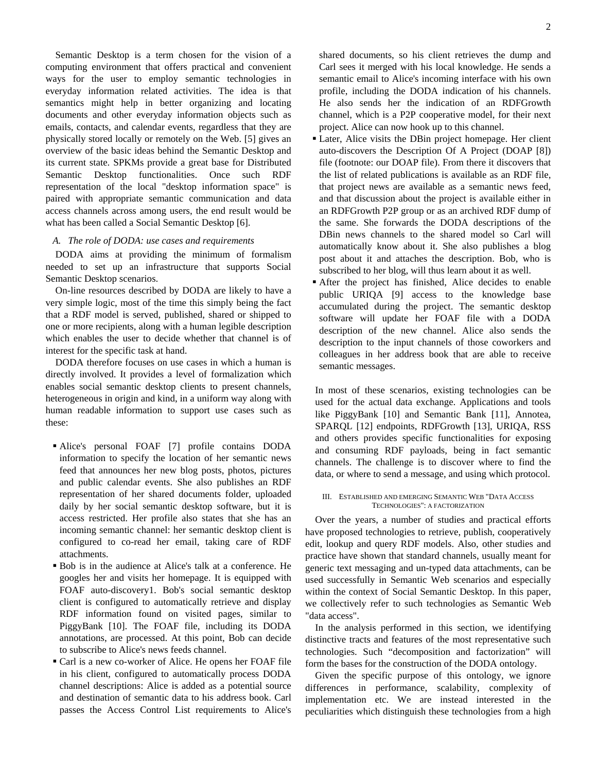Semantic Desktop is a term chosen for the vision of a computing environment that offers practical and convenient ways for the user to employ semantic technologies in everyday information related activities. The idea is that semantics might help in better organizing and locating documents and other everyday information objects such as emails, contacts, and calendar events, regardless that they are physically stored locally or remotely on the Web. [\[5\]](#page-8-4) gives an overview of the basic ideas behind the Semantic Desktop and its current state. SPKMs provide a great base for Distributed Semantic Desktop functionalities. Once such RDF representation of the local "desktop information space" is paired with appropriate semantic communication and data access channels across among users, the end result would be what has been called a Social Semantic Desktop [\[6\].](#page-8-5)

# *A. The role of DODA: use cases and requirements*

<span id="page-1-0"></span>DODA aims at providing the minimum of formalism needed to set up an infrastructure that supports Social Semantic Desktop scenarios.

On-line resources described by DODA are likely to have a very simple logic, most of the time this simply being the fact that a RDF model is served, published, shared or shipped to one or more recipients, along with a human legible description which enables the user to decide whether that channel is of interest for the specific task at hand.

DODA therefore focuses on use cases in which a human is directly involved. It provides a level of formalization which enables social semantic desktop clients to present channels, heterogeneous in origin and kind, in a uniform way along with human readable information to support use cases such as these:

- Alice's personal FOAF [\[7\]](#page-8-6) profile contains DODA information to specify the location of her semantic news feed that announces her new blog posts, photos, pictures and public calendar events. She also publishes an RDF representation of her shared documents folder, uploaded daily by her social semantic desktop software, but it is access restricted. Her profile also states that she has an incoming semantic channel: her semantic desktop client is configured to co-read her email, taking care of RDF attachments.
- Bob is in the audience at Alice's talk at a conference. He googles her and visits her homepage. It is equipped with FOAF auto-discovery1. Bob's social semantic desktop client is configured to automatically retrieve and display RDF information found on visited pages, similar to PiggyBank [\[10\]](#page-8-7). The FOAF file, including its DODA annotations, are processed. At this point, Bob can decide to subscribe to Alice's news feeds channel.
- Carl is a new co-worker of Alice. He opens her FOAF file in his client, configured to automatically process DODA channel descriptions: Alice is added as a potential source and destination of semantic data to his address book. Carl passes the Access Control List requirements to Alice's

shared documents, so his client retrieves the dump and Carl sees it merged with his local knowledge. He sends a semantic email to Alice's incoming interface with his own profile, including the DODA indication of his channels. He also sends her the indication of an RDFGrowth channel, which is a P2P cooperative model, for their next project. Alice can now hook up to this channel.

- Later, Alice visits the DBin project homepage. Her client auto-discovers the Description Of A Project (DOAP [\[8\]\)](#page-8-8) file (footnote: our DOAP file). From there it discovers that the list of related publications is available as an RDF file, that project news are available as a semantic news feed, and that discussion about the project is available either in an RDFGrowth P2P group or as an archived RDF dump of the same. She forwards the DODA descriptions of the DBin news channels to the shared model so Carl will automatically know about it. She also publishes a blog post about it and attaches the description. Bob, who is subscribed to her blog, will thus learn about it as well.
- After the project has finished, Alice decides to enable public URIQA [\[9\]](#page-8-9) access to the knowledge base accumulated during the project. The semantic desktop software will update her FOAF file with a DODA description of the new channel. Alice also sends the description to the input channels of those coworkers and colleagues in her address book that are able to receive semantic messages.

In most of these scenarios, existing technologies can be used for the actual data exchange. Applications and tools like PiggyBank [\[10\]](#page-8-7) and Semantic Bank [\[11\],](#page-8-10) Annotea, SPARQL [\[12\]](#page-8-11) endpoints, RDFGrowth [\[13\],](#page-8-12) URIQA, RSS and others provides specific functionalities for exposing and consuming RDF payloads, being in fact semantic channels. The challenge is to discover where to find the data, or where to send a message, and using which protocol.

#### III. ESTABLISHED AND EMERGING SEMANTIC WEB "DATA ACCESS TECHNOLOGIES": A FACTORIZATION

Over the years, a number of studies and practical efforts have proposed technologies to retrieve, publish, cooperatively edit, lookup and query RDF models. Also, other studies and practice have shown that standard channels, usually meant for generic text messaging and un-typed data attachments, can be used successfully in Semantic Web scenarios and especially within the context of Social Semantic Desktop. In this paper, we collectively refer to such technologies as Semantic Web "data access".

In the analysis performed in this section, we identifying distinctive tracts and features of the most representative such technologies. Such "decomposition and factorization" will form the bases for the construction of the DODA ontology.

Given the specific purpose of this ontology, we ignore differences in performance, scalability, complexity of implementation etc. We are instead interested in the peculiarities which distinguish these technologies from a high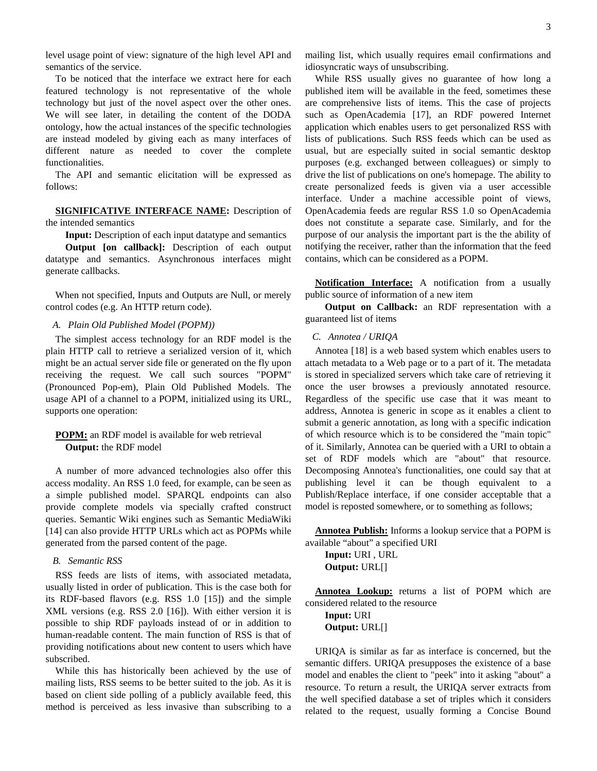To be noticed that the interface we extract here for each featured technology is not representative of the whole technology but just of the novel aspect over the other ones. We will see later, in detailing the content of the DODA ontology, how the actual instances of the specific technologies are instead modeled by giving each as many interfaces of different nature as needed to cover the complete functionalities.

The API and semantic elicitation will be expressed as follows:

**SIGNIFICATIVE INTERFACE NAME:** Description of the intended semantics

**Input:** Description of each input datatype and semantics

**Output [on callback]:** Description of each output datatype and semantics. Asynchronous interfaces might generate callbacks.

When not specified, Inputs and Outputs are Null, or merely control codes (e.g. An HTTP return code).

## *A. Plain Old Published Model (POPM))*

The simplest access technology for an RDF model is the plain HTTP call to retrieve a serialized version of it, which might be an actual server side file or generated on the fly upon receiving the request. We call such sources "POPM" (Pronounced Pop-em), Plain Old Published Models. The usage API of a channel to a POPM, initialized using its URL, supports one operation:

# **POPM:** an RDF model is available for web retrieval **Output:** the RDF model

A number of more advanced technologies also offer this access modality. An RSS 1.0 feed, for example, can be seen as a simple published model. SPARQL endpoints can also provide complete models via specially crafted construct queries. Semantic Wiki engines such as Semantic MediaWiki [\[14\]](#page-8-13) can also provide HTTP URLs which act as POPMs while generated from the parsed content of the page.

# *B. Semantic RSS*

RSS feeds are lists of items, with associated metadata, usually listed in order of publication. This is the case both for its RDF-based flavors (e.g. RSS 1.0 [\[15\]\)](#page-8-14) and the simple XML versions (e.g. RSS 2.0 [\[16\]\)](#page-8-15). With either version it is possible to ship RDF payloads instead of or in addition to human-readable content. The main function of RSS is that of providing notifications about new content to users which have subscribed.

While this has historically been achieved by the use of mailing lists, RSS seems to be better suited to the job. As it is based on client side polling of a publicly available feed, this method is perceived as less invasive than subscribing to a mailing list, which usually requires email confirmations and idiosyncratic ways of unsubscribing.

While RSS usually gives no guarantee of how long a published item will be available in the feed, sometimes these are comprehensive lists of items. This the case of projects such as OpenAcademia [\[17\]](#page-8-16), an RDF powered Internet application which enables users to get personalized RSS with lists of publications. Such RSS feeds which can be used as usual, but are especially suited in social semantic desktop purposes (e.g. exchanged between colleagues) or simply to drive the list of publications on one's homepage. The ability to create personalized feeds is given via a user accessible interface. Under a machine accessible point of views, OpenAcademia feeds are regular RSS 1.0 so OpenAcademia does not constitute a separate case. Similarly, and for the purpose of our analysis the important part is the the ability of notifying the receiver, rather than the information that the feed contains, which can be considered as a POPM.

**Notification Interface:** A notification from a usually public source of information of a new item

**Output on Callback:** an RDF representation with a guaranteed list of items

### *C. Annotea / URIQA*

Annotea [\[18\]](#page-8-17) is a web based system which enables users to attach metadata to a Web page or to a part of it. The metadata is stored in specialized servers which take care of retrieving it once the user browses a previously annotated resource. Regardless of the specific use case that it was meant to address, Annotea is generic in scope as it enables a client to submit a generic annotation, as long with a specific indication of which resource which is to be considered the "main topic" of it. Similarly, Annotea can be queried with a URI to obtain a set of RDF models which are "about" that resource. Decomposing Annotea's functionalities, one could say that at publishing level it can be though equivalent to a Publish/Replace interface, if one consider acceptable that a model is reposted somewhere, or to something as follows;

**Annotea Publish:** Informs a lookup service that a POPM is available "about" a specified URI

**Input:** URI , URL **Output:** URL[]

**Annotea Lookup:** returns a list of POPM which are considered related to the resource

**Input:** URI **Output:** URL[]

URIQA is similar as far as interface is concerned, but the semantic differs. URIQA presupposes the existence of a base model and enables the client to "peek" into it asking "about" a resource. To return a result, the URIQA server extracts from the well specified database a set of triples which it considers related to the request, usually forming a Concise Bound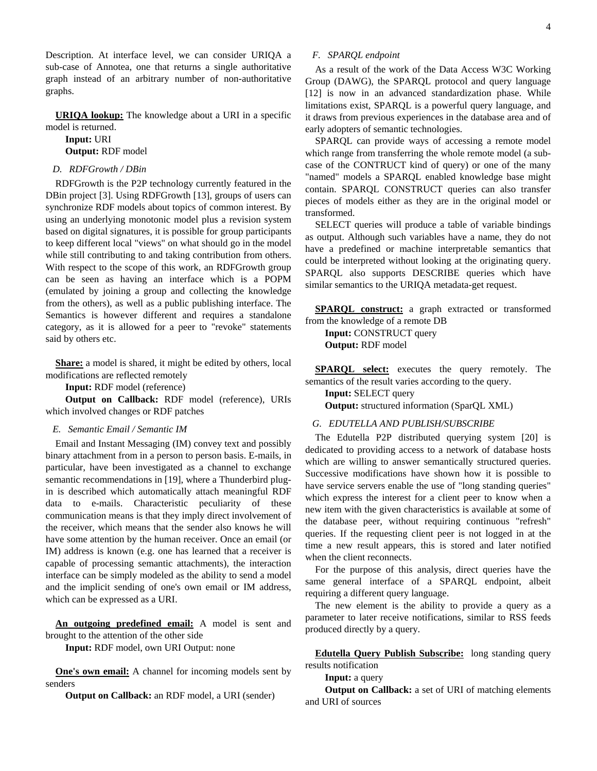Description. At interface level, we can consider URIQA a sub-case of Annotea, one that returns a single authoritative graph instead of an arbitrary number of non-authoritative graphs.

**URIQA lookup:** The knowledge about a URI in a specific model is returned.

**Input:** URI

**Output:** RDF model

## *D. RDFGrowth / DBin*

RDFGrowth is the P2P technology currently featured in the DBin project [\[3\].](#page-8-2) Using RDFGrowth [\[13\]](#page-8-12), groups of users can synchronize RDF models about topics of common interest. By using an underlying monotonic model plus a revision system based on digital signatures, it is possible for group participants to keep different local "views" on what should go in the model while still contributing to and taking contribution from others. With respect to the scope of this work, an RDFGrowth group can be seen as having an interface which is a POPM (emulated by joining a group and collecting the knowledge from the others), as well as a public publishing interface. The Semantics is however different and requires a standalone category, as it is allowed for a peer to "revoke" statements said by others etc.

**Share:** a model is shared, it might be edited by others, local modifications are reflected remotely

**Input:** RDF model (reference)

**Output on Callback:** RDF model (reference), URIs which involved changes or RDF patches

## *E. Semantic Email / Semantic IM*

Email and Instant Messaging (IM) convey text and possibly binary attachment from in a person to person basis. E-mails, in particular, have been investigated as a channel to exchange semantic recommendations in [\[19\],](#page-8-18) where a Thunderbird plugin is described which automatically attach meaningful RDF data to e-mails. Characteristic peculiarity of these communication means is that they imply direct involvement of the receiver, which means that the sender also knows he will have some attention by the human receiver. Once an email (or IM) address is known (e.g. one has learned that a receiver is capable of processing semantic attachments), the interaction interface can be simply modeled as the ability to send a model and the implicit sending of one's own email or IM address, which can be expressed as a URI.

**An outgoing predefined email:** A model is sent and brought to the attention of the other side

**Input:** RDF model, own URI Output: none

**One's own email:** A channel for incoming models sent by senders

**Output on Callback:** an RDF model, a URI (sender)

As a result of the work of the Data Access W3C Working Group (DAWG), the SPARQL protocol and query language [\[12\]](#page-8-11) is now in an advanced standardization phase. While limitations exist, SPARQL is a powerful query language, and it draws from previous experiences in the database area and of early adopters of semantic technologies.

SPARQL can provide ways of accessing a remote model which range from transferring the whole remote model (a subcase of the CONTRUCT kind of query) or one of the many "named" models a SPARQL enabled knowledge base might contain. SPARQL CONSTRUCT queries can also transfer pieces of models either as they are in the original model or transformed.

SELECT queries will produce a table of variable bindings as output. Although such variables have a name, they do not have a predefined or machine interpretable semantics that could be interpreted without looking at the originating query. SPARQL also supports DESCRIBE queries which have similar semantics to the URIQA metadata-get request.

**SPARQL construct:** a graph extracted or transformed from the knowledge of a remote DB **Input:** CONSTRUCT query **Output:** RDF model

**SPARQL select:** executes the query remotely. The semantics of the result varies according to the query.

**Input:** SELECT query **Output:** structured information (SparQL XML)

# *G. EDUTELLA AND PUBLISH/SUBSCRIBE*

The Edutella P2P distributed querying system [\[20\]](#page-8-19) is dedicated to providing access to a network of database hosts which are willing to answer semantically structured queries. Successive modifications have shown how it is possible to have service servers enable the use of "long standing queries" which express the interest for a client peer to know when a new item with the given characteristics is available at some of the database peer, without requiring continuous "refresh" queries. If the requesting client peer is not logged in at the time a new result appears, this is stored and later notified when the client reconnects.

For the purpose of this analysis, direct queries have the same general interface of a SPARQL endpoint, albeit requiring a different query language.

The new element is the ability to provide a query as a parameter to later receive notifications, similar to RSS feeds produced directly by a query.

**Edutella Query Publish Subscribe:** long standing query results notification

**Input:** a query

**Output on Callback:** a set of URI of matching elements and URI of sources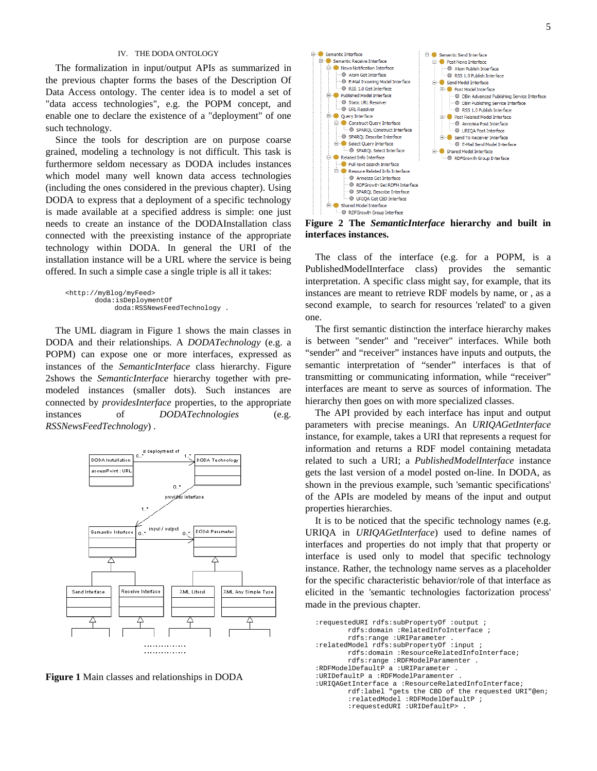#### IV. THE DODA ONTOLOGY

The formalization in input/output APIs as summarized in the previous chapter forms the bases of the Description Of Data Access ontology. The center idea is to model a set of "data access technologies", e.g. the POPM concept, and enable one to declare the existence of a "deployment" of one such technology.

Since the tools for description are on purpose coarse grained, modeling a technology is not difficult. This task is furthermore seldom necessary as DODA includes instances which model many well known data access technologies (including the ones considered in the previous chapter). Using DODA to express that a deployment of a specific technology is made available at a specified address is simple: one just needs to create an instance of the DODAInstallation class connected with the preexisting instance of the appropriate technology within DODA. In general the URI of the installation instance will be a URL where the service is being offered. In such a simple case a single triple is all it takes:

```
<http://myBlog/myFeed> 
       doda:isDeploymentOf 
            doda:RSSNewsFeedTechnology .
```
The UML diagram in Figure 1 shows the main classes in DODA and their relationships. A *DODATechnology* (e.g. a POPM) can expose one or more interfaces, expressed as instances of the *SemanticInterface* class hierarchy. Figure 2shows the *SemanticInterface* hierarchy together with premodeled instances (smaller dots). Such instances are connected by *providesInterface* properties, to the appropriate instances of *DODATechnologies* (e.g. *RSSNewsFeedTechnology*) .



**Figure 1** Main classes and relationships in DODA



**Figure 2 The** *SemanticInterface* **hierarchy and built in interfaces instances.** 

The class of the interface (e.g. for a POPM, is a PublishedModelInterface class) provides the semantic interpretation. A specific class might say, for example, that its instances are meant to retrieve RDF models by name, or , as a second example, to search for resources 'related' to a given one.

The first semantic distinction the interface hierarchy makes is between "sender" and "receiver" interfaces. While both "sender" and "receiver" instances have inputs and outputs, the semantic interpretation of "sender" interfaces is that of transmitting or communicating information, while "receiver" interfaces are meant to serve as sources of information. The hierarchy then goes on with more specialized classes.

The API provided by each interface has input and output parameters with precise meanings. An *URIQAGetInterface* instance, for example, takes a URI that represents a request for information and returns a RDF model containing metadata related to such a URI; a *PublishedModelInterface* instance gets the last version of a model posted on-line. In DODA, as shown in the previous example, such 'semantic specifications' of the APIs are modeled by means of the input and output properties hierarchies.

It is to be noticed that the specific technology names (e.g. URIQA in *URIQAGetInterface*) used to define names of interfaces and properties do not imply that that property or interface is used only to model that specific technology instance. Rather, the technology name serves as a placeholder for the specific characteristic behavior/role of that interface as elicited in the 'semantic technologies factorization process' made in the previous chapter.

```
:requestedURI rdfs:subPropertyOf :output ; 
        rdfs:domain :RelatedInfoInterface ; 
         rdfs:range :URIParameter . 
:relatedModel rdfs:subPropertyOf :input ; 
         rdfs:domain :ResourceRelatedInfoInterface; 
        rdfs:range :RDFModelParamenter . 
:RDFModelDefaultP a :URIParameter . 
:URIDefaultP a :RDFModelParamenter . 
:URIQAGetInterface a :ResourceRelatedInfoInterface; 
        rdf:label "gets the CBD of the requested URI"@en; 
         :relatedModel :RDFModelDefaultP ; 
         :requestedURI :URIDefaultP> .
```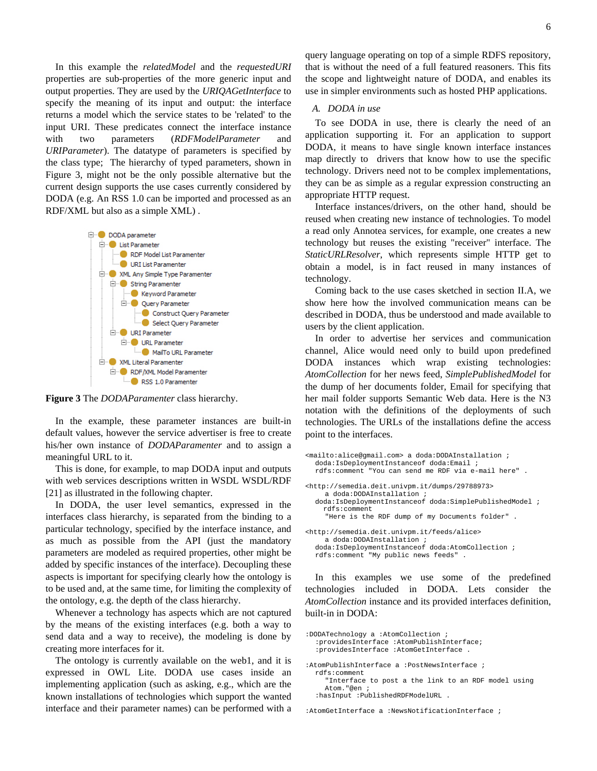In this example the *relatedModel* and the *requestedURI* properties are sub-properties of the more generic input and output properties. They are used by the *URIQAGetInterface* to specify the meaning of its input and output: the interface returns a model which the service states to be 'related' to the input URI. These predicates connect the interface instance with two parameters (*RDFModelParameter* and *URIParameter*). The datatype of parameters is specified by the class type; The hierarchy of typed parameters, shown in Figure 3, might not be the only possible alternative but the current design supports the use cases currently considered by DODA (e.g. An RSS 1.0 can be imported and processed as an RDF/XML but also as a simple XML) .



**Figure 3** The *DODAParamenter* class hierarchy.

In the example, these parameter instances are built-in default values, however the service advertiser is free to create his/her own instance of *DODAParamenter* and to assign a meaningful URL to it.

This is done, for example, to map DODA input and outputs with web services descriptions written in WSDL WSDL/RDF [\[21\]](#page-8-20) as illustrated in the following chapter.

In DODA, the user level semantics, expressed in the interfaces class hierarchy, is separated from the binding to a particular technology, specified by the interface instance, and as much as possible from the API (just the mandatory parameters are modeled as required properties, other might be added by specific instances of the interface). Decoupling these aspects is important for specifying clearly how the ontology is to be used and, at the same time, for limiting the complexity of the ontology, e.g. the depth of the class hierarchy.

Whenever a technology has aspects which are not captured by the means of the existing interfaces (e.g. both a way to send data and a way to receive), the modeling is done by creating more interfaces for it.

The ontology is currently available on the web1, and it is expressed in OWL Lite. DODA use cases inside an implementing application (such as asking, e.g., which are the known installations of technologies which support the wanted interface and their parameter names) can be performed with a query language operating on top of a simple RDFS repository, that is without the need of a full featured reasoners. This fits the scope and lightweight nature of DODA, and enables its use in simpler environments such as hosted PHP applications.

### *A. DODA in use*

To see DODA in use, there is clearly the need of an application supporting it. For an application to support DODA, it means to have single known interface instances map directly to drivers that know how to use the specific technology. Drivers need not to be complex implementations, they can be as simple as a regular expression constructing an appropriate HTTP request.

Interface instances/drivers, on the other hand, should be reused when creating new instance of technologies. To model a read only Annotea services, for example, one creates a new technology but reuses the existing "receiver" interface. The *StaticURLResolver*, which represents simple HTTP get to obtain a model, is in fact reused in many instances of technology.

Coming back to the use cases sketched in section [II.A,](#page-1-0) we show here how the involved communication means can be described in DODA, thus be understood and made available to users by the client application.

In order to advertise her services and communication channel, Alice would need only to build upon predefined DODA instances which wrap existing technologies: *AtomCollection* for her news feed, *SimplePublishedModel* for the dump of her documents folder, Email for specifying that her mail folder supports Semantic Web data. Here is the N3 notation with the definitions of the deployments of such technologies. The URLs of the installations define the access point to the interfaces.

```
<mailto:alice@gmail.com> a doda:DODAInstallation ; 
  doda:IsDeploymentInstanceof doda:Email ; 
  rdfs:comment "You can send me RDF via e-mail here" . 
<http://semedia.deit.univpm.it/dumps/29788973> 
    a doda:DODAInstallation ; 
  doda:IsDeploymentInstanceof doda:SimplePublishedModel ; 
     rdfs:comment 
     "Here is the RDF dump of my Documents folder" . 
<http://semedia.deit.univpm.it/feeds/alice> 
    a doda:DODAInstallation ; 
  doda:IsDeploymentInstanceof doda:AtomCollection ; 
  rdfs:comment "My public news feeds" .
```
In this examples we use some of the predefined technologies included in DODA. Lets consider the *AtomCollection* instance and its provided interfaces definition, built-in in DODA:

```
:DODATechnology a :AtomCollection ; 
  :providesInterface :AtomPublishInterface; 
  :providesInterface :AtomGetInterface .
```
:AtomPublishInterface a :PostNewsInterface ; rdfs:comment "Interface to post a the link to an RDF model using Atom."@en ;

:hasInput :PublishedRDFModelURL .

:AtomGetInterface a :NewsNotificationInterface ;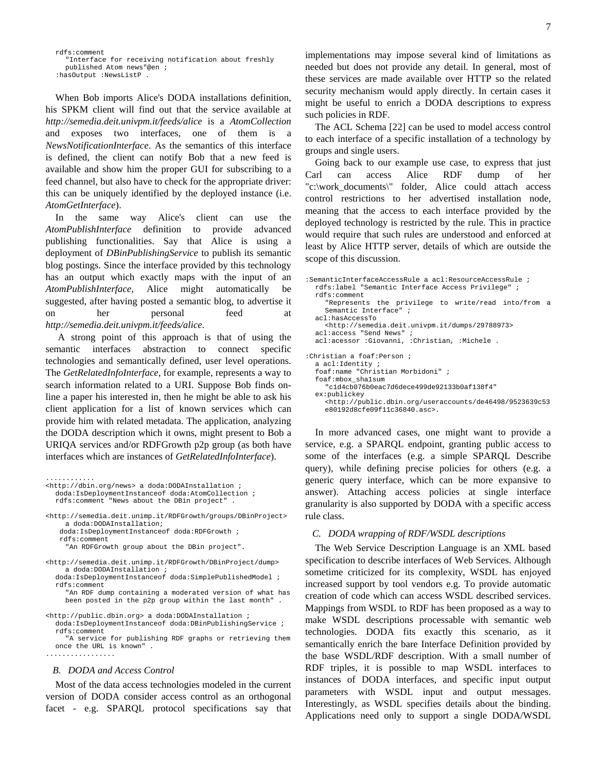rdfs:comment "Interface for receiving notification about freshly published Atom news"@en ; :hasOutput :NewsListP .

When Bob imports Alice's DODA installations definition, his SPKM client will find out that the service available at *http://semedia.deit.univpm.it/feeds/alice* is a *AtomCollection* and exposes two interfaces, one of them is *NewsNotificationInterface*. As the semantics of this interface is defined, the client can notify Bob that a new feed is available and show him the proper GUI for subscribing to a feed channel, but also have to check for the appropriate driver: this can be uniquely identified by the deployed instance (i.e. *AtomGetInterface*).

In the same way Alice's client can use the *AtomPublishInterface* definition to provide advanced publishing functionalities. Say that Alice is using a deployment of *DBinPublishingService* to publish its semantic blog postings. Since the interface provided by this technology has an output which exactly maps with the input of an *AtomPublishInterface*, Alice might automatically be suggested, after having posted a semantic blog, to advertise it on her personal feed at *http://semedia.deit.univpm.it/feeds/alice*.

 A strong point of this approach is that of using the semantic interfaces abstraction to connect specific technologies and semantically defined, user level operations. The *GetRelatedInfoInterface*, for example, represents a way to search information related to a URI. Suppose Bob finds online a paper his interested in, then he might be able to ask his client application for a list of known services which can provide him with related metadata. The application, analyzing the DODA description which it owns, might present to Bob a URIQA services and/or RDFGrowth p2p group (as both have interfaces which are instances of *GetRelatedInfoInterface*).

............ <http://dbin.org/news> a doda:DODAInstallation ; doda:IsDeploymentInstanceof doda:AtomCollection ; rdfs:comment "News about the DBin project" .

<http://semedia.deit.unimp.it/RDFGrowth/groups/DBinProject> a doda:DODAInstallation;

 doda:IsDeploymentInstanceof doda:RDFGrowth ; rdfs:comment

"An RDFGrowth group about the DBin project".

<http://semedia.deit.unimp.it/RDFGrowth/DBinProject/dump> a doda:DODAInstallation ;

doda:IsDeploymentInstanceof doda:SimplePublishedModel ; rdfs:comment

"An RDF dump containing a moderated version of what has been posted in the p2p group within the last month"

<http://public.dbin.org> a doda:DODAInstallation ;

doda:IsDeploymentInstanceof doda:DBinPublishingService ; rdfs:comment

"A service for publishing RDF graphs or retrieving them once the URL is known" . .................

#### *B. DODA and Access Control*

Most of the data access technologies modeled in the current version of DODA consider access control as an orthogonal facet - e.g. SPARQL protocol specifications say that implementations may impose several kind of limitations as needed but does not provide any detail. In general, most of these services are made available over HTTP so the related security mechanism would apply directly. In certain cases it might be useful to enrich a DODA descriptions to express such policies in RDF.

The ACL Schema [\[22\]](#page-8-21) can be used to model access control to each interface of a specific installation of a technology by groups and single users.

Going back to our example use case, to express that just Carl can access Alice RDF dump of her "c:\work\_documents\" folder, Alice could attach access control restrictions to her advertised installation node, meaning that the access to each interface provided by the deployed technology is restricted by the rule. This in practice would require that such rules are understood and enforced at least by Alice HTTP server, details of which are outside the scope of this discussion.

```
:SemanticInterfaceAccessRule a acl:ResourceAccessRule ; 
  rdfs:label "Semantic Interface Access Privilege" ; 
  rdfs:comment 
     "Represents the privilege to write/read into/from a 
    Semantic Interface" ; 
  acl:hasAccessTo 
    <http://semedia.deit.univpm.it/dumps/29788973> 
  acl:access "Send News"
  acl:acessor :Giovanni, :Christian, :Michele . 
:Christian a foaf:Person ; 
  a acl:Identity ; 
  foaf:name "Christian Morbidoni" ; 
  foaf:mbox_sha1sum 
     "c1d4cb076b0eac7d6dece499de92133b0af138f4" 
  ex:publickey 
     <http://public.dbin.org/useraccounts/de46498/9523639c53
    e80192d8cfe09f11c36840.asc>.
```
In more advanced cases, one might want to provide a service, e.g. a SPARQL endpoint, granting public access to some of the interfaces (e.g. a simple SPARQL Describe query), while defining precise policies for others (e.g. a generic query interface, which can be more expansive to answer). Attaching access policies at single interface granularity is also supported by DODA with a specific access rule class.

#### *C. DODA wrapping of RDF/WSDL descriptions*

The Web Service Description Language is an XML based specification to describe interfaces of Web Services. Although sometime criticized for its complexity, WSDL has enjoyed increased support by tool vendors e.g. To provide automatic creation of code which can access WSDL described services. Mappings from WSDL to RDF has been proposed as a way to make WSDL descriptions processable with semantic web technologies. DODA fits exactly this scenario, as it semantically enrich the bare Interface Definition provided by the base WSDL/RDF description. With a small number of RDF triples, it is possible to map WSDL interfaces to instances of DODA interfaces, and specific input output parameters with WSDL input and output messages. Interestingly, as WSDL specifies details about the binding. Applications need only to support a single DODA/WSDL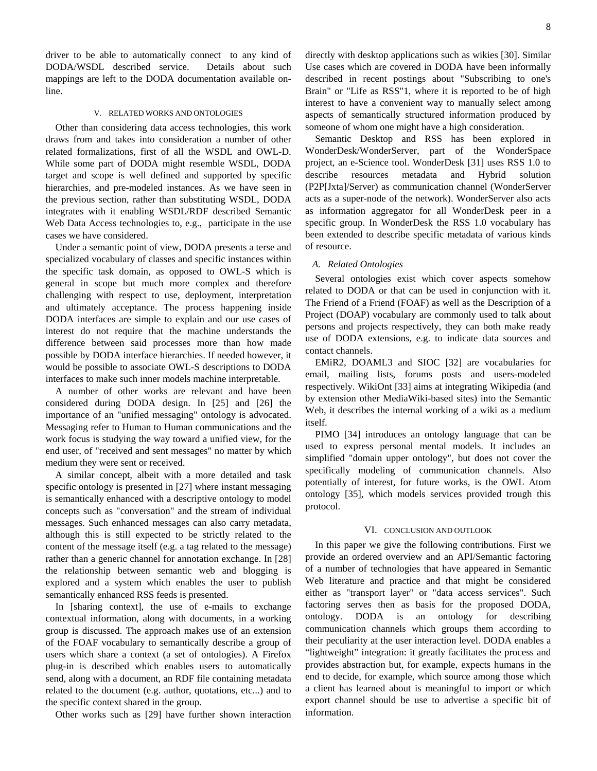driver to be able to automatically connect to any kind of DODA/WSDL described service. Details about such mappings are left to the DODA documentation available online.

#### V. RELATED WORKS AND ONTOLOGIES

Other than considering data access technologies, this work draws from and takes into consideration a number of other related formalizations, first of all the WSDL and OWL-D. While some part of DODA might resemble WSDL, DODA target and scope is well defined and supported by specific hierarchies, and pre-modeled instances. As we have seen in the previous section, rather than substituting WSDL, DODA integrates with it enabling WSDL/RDF described Semantic Web Data Access technologies to, e.g., participate in the use cases we have considered.

Under a semantic point of view, DODA presents a terse and specialized vocabulary of classes and specific instances within the specific task domain, as opposed to OWL-S which is general in scope but much more complex and therefore challenging with respect to use, deployment, interpretation and ultimately acceptance. The process happening inside DODA interfaces are simple to explain and our use cases of interest do not require that the machine understands the difference between said processes more than how made possible by DODA interface hierarchies. If needed however, it would be possible to associate OWL-S descriptions to DODA interfaces to make such inner models machine interpretable.

A number of other works are relevant and have been considered during DODA design. In [\[25\]](#page-8-22) and [\[26\]](#page-8-23) the importance of an "unified messaging" ontology is advocated. Messaging refer to Human to Human communications and the work focus is studying the way toward a unified view, for the end user, of "received and sent messages" no matter by which medium they were sent or received.

A similar concept, albeit with a more detailed and task specific ontology is presented in [\[27\]](#page-8-24) where instant messaging is semantically enhanced with a descriptive ontology to model concepts such as "conversation" and the stream of individual messages. Such enhanced messages can also carry metadata, although this is still expected to be strictly related to the content of the message itself (e.g. a tag related to the message) rather than a generic channel for annotation exchange. In [\[28\]](#page-8-25) the relationship between semantic web and blogging is explored and a system which enables the user to publish semantically enhanced RSS feeds is presented.

In [sharing context], the use of e-mails to exchange contextual information, along with documents, in a working group is discussed. The approach makes use of an extension of the FOAF vocabulary to semantically describe a group of users which share a context (a set of ontologies). A Firefox plug-in is described which enables users to automatically send, along with a document, an RDF file containing metadata related to the document (e.g. author, quotations, etc...) and to the specific context shared in the group.

Other works such as [\[29\]](#page-8-26) have further shown interaction

8

directly with desktop applications such as wikies [\[30\].](#page-8-27) Similar Use cases which are covered in DODA have been informally described in recent postings about "Subscribing to one's Brain" or "Life as RSS"1, where it is reported to be of high interest to have a convenient way to manually select among aspects of semantically structured information produced by someone of whom one might have a high consideration.

Semantic Desktop and RSS has been explored in WonderDesk/WonderServer, part of the WonderSpace project, an e-Science tool. WonderDesk [\[31\]](#page-8-28) uses RSS 1.0 to describe resources metadata and Hybrid solution (P2P[Jxta]/Server) as communication channel (WonderServer acts as a super-node of the network). WonderServer also acts as information aggregator for all WonderDesk peer in a specific group. In WonderDesk the RSS 1.0 vocabulary has been extended to describe specific metadata of various kinds of resource.

## *A. Related Ontologies*

Several ontologies exist which cover aspects somehow related to DODA or that can be used in conjunction with it. The Friend of a Friend (FOAF) as well as the Description of a Project (DOAP) vocabulary are commonly used to talk about persons and projects respectively, they can both make ready use of DODA extensions, e.g. to indicate data sources and contact channels.

EMiR2, DOAML3 and SIOC [\[32\]](#page-8-29) are vocabularies for email, mailing lists, forums posts and users-modeled respectively. WikiOnt [\[33\]](#page-8-30) aims at integrating Wikipedia (and by extension other MediaWiki-based sites) into the Semantic Web, it describes the internal working of a wiki as a medium itself.

PIMO [\[34\]](#page-8-31) introduces an ontology language that can be used to express personal mental models. It includes an simplified "domain upper ontology", but does not cover the specifically modeling of communication channels. Also potentially of interest, for future works, is the OWL Atom ontology [\[35\],](#page-8-32) which models services provided trough this protocol.

#### VI. CONCLUSION AND OUTLOOK

In this paper we give the following contributions. First we provide an ordered overview and an API/Semantic factoring of a number of technologies that have appeared in Semantic Web literature and practice and that might be considered either as "transport layer" or "data access services". Such factoring serves then as basis for the proposed DODA, ontology. DODA is an ontology for describing communication channels which groups them according to their peculiarity at the user interaction level. DODA enables a "lightweight" integration: it greatly facilitates the process and provides abstraction but, for example, expects humans in the end to decide, for example, which source among those which a client has learned about is meaningful to import or which export channel should be use to advertise a specific bit of information.